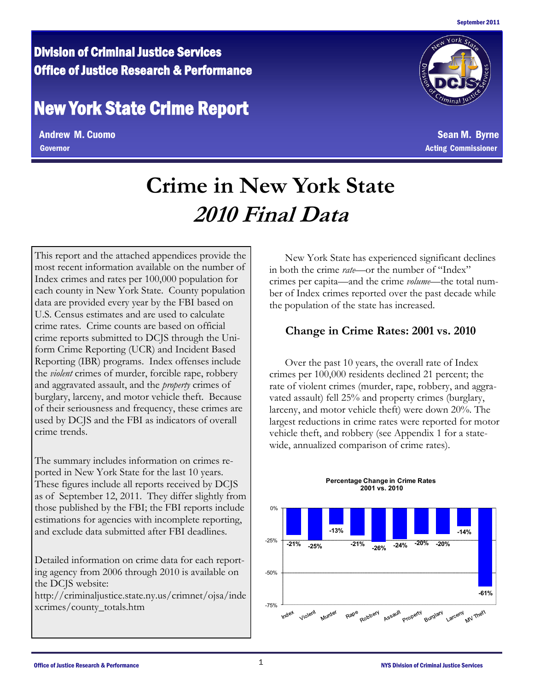## Division of Criminal Justice Services Office of Justice Research & Performance

# New York State Crime Report

Andrew M. Cuomo Sean M. Byrne Governor Acting Commissioner



# **Crime in New York State 2010 Final Data**

This report and the attached appendices provide the most recent information available on the number of Index crimes and rates per 100,000 population for each county in New York State. County population data are provided every year by the FBI based on U.S. Census estimates and are used to calculate crime rates. Crime counts are based on official crime reports submitted to DCJS through the Uniform Crime Reporting (UCR) and Incident Based Reporting (IBR) programs. Index offenses include the *violent* crimes of murder, forcible rape, robbery and aggravated assault, and the *property* crimes of burglary, larceny, and motor vehicle theft. Because of their seriousness and frequency, these crimes are used by DCJS and the FBI as indicators of overall crime trends.

The summary includes information on crimes reported in New York State for the last 10 years. These figures include all reports received by DCJS as of September 12, 2011. They differ slightly from those published by the FBI; the FBI reports include estimations for agencies with incomplete reporting, and exclude data submitted after FBI deadlines.

Detailed information on crime data for each reporting agency from 2006 through 2010 is available on the DCJS website:

http://criminaljustice.state.ny.us/crimnet/ojsa/inde xcrimes/county\_totals.htm

 New York State has experienced significant declines in both the crime *rate*—or the number of "Index" crimes per capita—and the crime *volume*—the total number of Index crimes reported over the past decade while the population of the state has increased.

### **Change in Crime Rates: 2001 vs. 2010**

 Over the past 10 years, the overall rate of Index crimes per 100,000 residents declined 21 percent; the rate of violent crimes (murder, rape, robbery, and aggravated assault) fell 25% and property crimes (burglary, larceny, and motor vehicle theft) were down 20%. The largest reductions in crime rates were reported for motor vehicle theft, and robbery (see Appendix 1 for a statewide, annualized comparison of crime rates).



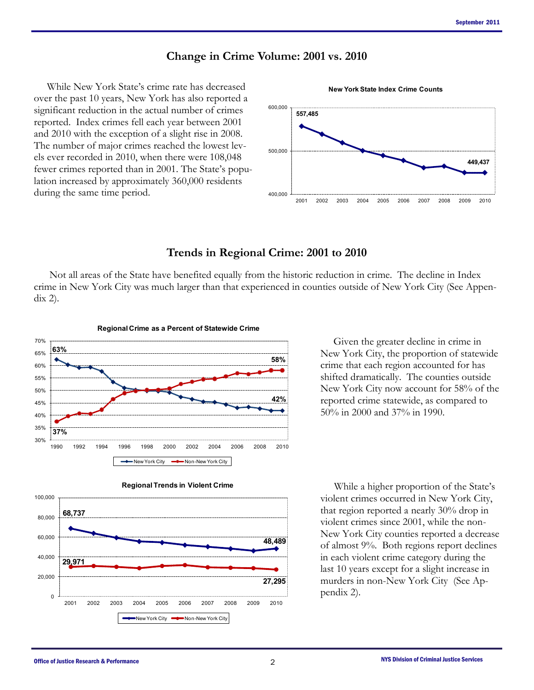#### **Change in Crime Volume: 2001 vs. 2010**

 While New York State's crime rate has decreased over the past 10 years, New York has also reported a significant reduction in the actual number of crimes reported. Index crimes fell each year between 2001 and 2010 with the exception of a slight rise in 2008. The number of major crimes reached the lowest levels ever recorded in 2010, when there were 108,048 fewer crimes reported than in 2001. The State's population increased by approximately 360,000 residents during the same time period.



**New York State Index Crime Counts**

**Trends in Regional Crime: 2001 to 2010** 

Not all areas of the State have benefited equally from the historic reduction in crime. The decline in Index crime in New York City was much larger than that experienced in counties outside of New York City (See Appendix 2).





 Given the greater decline in crime in New York City, the proportion of statewide crime that each region accounted for has shifted dramatically. The counties outside New York City now account for 58% of the reported crime statewide, as compared to 50% in 2000 and 37% in 1990.

 While a higher proportion of the State's violent crimes occurred in New York City, that region reported a nearly 30% drop in violent crimes since 2001, while the non-New York City counties reported a decrease of almost 9%. Both regions report declines in each violent crime category during the last 10 years except for a slight increase in murders in non-New York City (See Appendix 2).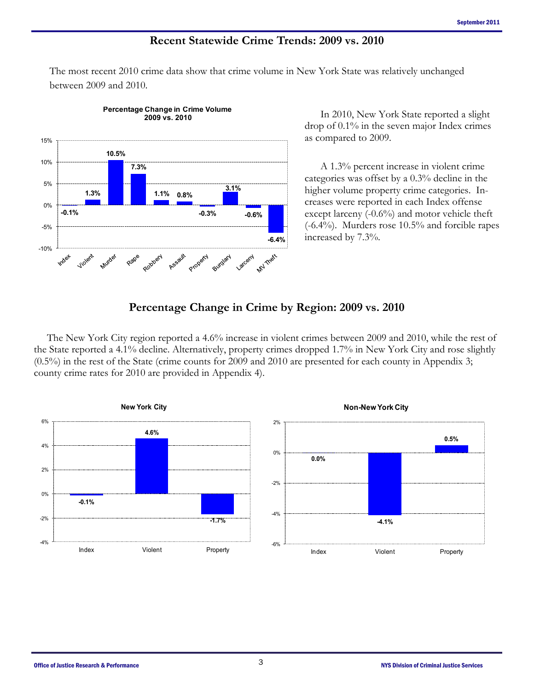#### **Recent Statewide Crime Trends: 2009 vs. 2010**

The most recent 2010 crime data show that crime volume in New York State was relatively unchanged between 2009 and 2010.



**Percentage Change in Crime Volume**

 In 2010, New York State reported a slight drop of 0.1% in the seven major Index crimes as compared to 2009.

 A 1.3% percent increase in violent crime categories was offset by a 0.3% decline in the higher volume property crime categories. Increases were reported in each Index offense except larceny (-0.6%) and motor vehicle theft (-6.4%). Murders rose 10.5% and forcible rapes increased by 7.3%.

#### **Percentage Change in Crime by Region: 2009 vs. 2010**

 The New York City region reported a 4.6% increase in violent crimes between 2009 and 2010, while the rest of the State reported a 4.1% decline. Alternatively, property crimes dropped 1.7% in New York City and rose slightly (0.5%) in the rest of the State (crime counts for 2009 and 2010 are presented for each county in Appendix 3; county crime rates for 2010 are provided in Appendix 4).

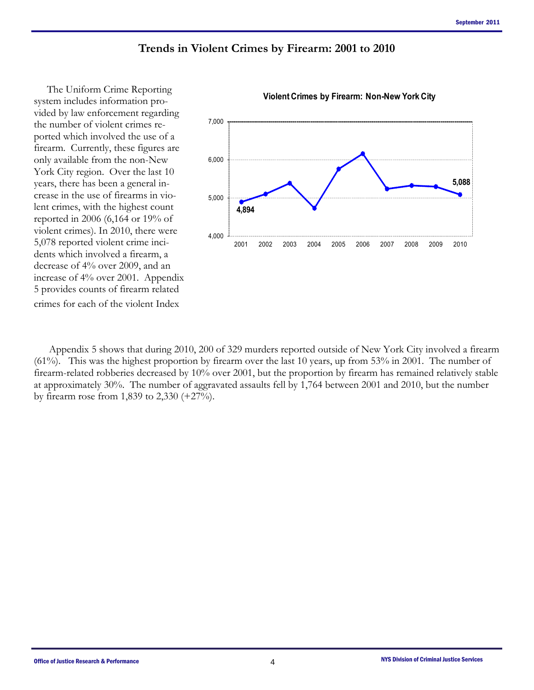#### **Trends in Violent Crimes by Firearm: 2001 to 2010**

 The Uniform Crime Reporting system includes information provided by law enforcement regarding the number of violent crimes reported which involved the use of a firearm. Currently, these figures are only available from the non-New York City region. Over the last 10 years, there has been a general increase in the use of firearms in violent crimes, with the highest count reported in 2006 (6,164 or 19% of violent crimes). In 2010, there were 5,078 reported violent crime incidents which involved a firearm, a decrease of 4% over 2009, and an increase of 4% over 2001. Appendix 5 provides counts of firearm related crimes for each of the violent Index



 Appendix 5 shows that during 2010, 200 of 329 murders reported outside of New York City involved a firearm (61%). This was the highest proportion by firearm over the last 10 years, up from 53% in 2001. The number of firearm-related robberies decreased by 10% over 2001, but the proportion by firearm has remained relatively stable at approximately 30%. The number of aggravated assaults fell by 1,764 between 2001 and 2010, but the number by firearm rose from 1,839 to 2,330 (+27%).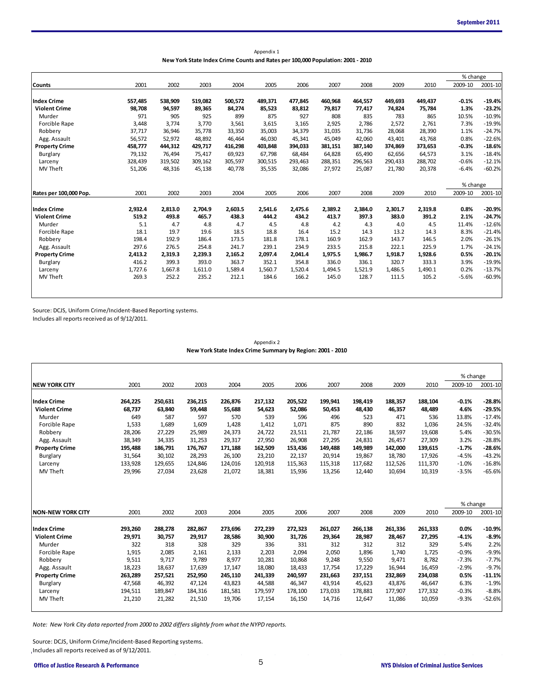| Appendix 1                                                                      |
|---------------------------------------------------------------------------------|
| New York State Index Crime Counts and Rates per 100,000 Population: 2001 - 2010 |

|                        |         |         |         |                                                                                 | Appendix 1 |         |         |         |         |         |          |          |
|------------------------|---------|---------|---------|---------------------------------------------------------------------------------|------------|---------|---------|---------|---------|---------|----------|----------|
|                        |         |         |         | New York State Index Crime Counts and Rates per 100,000 Population: 2001 - 2010 |            |         |         |         |         |         |          |          |
|                        |         |         |         |                                                                                 |            |         |         |         |         |         | % change |          |
| <b>Counts</b>          | 2001    | 2002    | 2003    | 2004                                                                            | 2005       | 2006    | 2007    | 2008    | 2009    | 2010    | 2009-10  | 2001-10  |
| <b>Index Crime</b>     | 557,485 | 538,909 | 519,082 | 500,572                                                                         | 489,371    | 477,845 | 460,968 | 464,557 | 449,693 | 449,437 | $-0.1%$  | $-19.4%$ |
| <b>Violent Crime</b>   | 98,708  | 94,597  | 89,365  | 84,274                                                                          | 85,523     | 83,812  | 79,817  | 77,417  | 74,824  | 75,784  | 1.3%     | $-23.2%$ |
| Murder                 | 971     | 905     | 925     | 899                                                                             | 875        | 927     | 808     | 835     | 783     | 865     | 10.5%    | $-10.9%$ |
| Forcible Rape          | 3,448   | 3,774   | 3,770   | 3,561                                                                           | 3,615      | 3,165   | 2,925   | 2,786   | 2,572   | 2,761   | 7.3%     | $-19.9%$ |
| Robbery                | 37,717  | 36,946  | 35,778  | 33,350                                                                          | 35,003     | 34,379  | 31,035  | 31,736  | 28.068  | 28,390  | 1.1%     | $-24.7%$ |
| Agg. Assault           | 56,572  | 52,972  | 48,892  | 46,464                                                                          | 46,030     | 45,341  | 45,049  | 42,060  | 43,401  | 43,768  | 0.8%     | $-22.6%$ |
| <b>Property Crime</b>  | 458,777 | 444,312 | 429,717 | 416,298                                                                         | 403,848    | 394,033 | 381,151 | 387,140 | 374,869 | 373,653 | $-0.3%$  | $-18.6%$ |
| Burglary               | 79,132  | 76,494  | 75,417  | 69,923                                                                          | 67,798     | 68,484  | 64,828  | 65,490  | 62,656  | 64,573  | 3.1%     | $-18.4%$ |
| Larceny                | 328,439 | 319,502 | 309,162 | 305,597                                                                         | 300,515    | 293,463 | 288,351 | 296,563 | 290,433 | 288,702 | $-0.6%$  | $-12.1%$ |
| MV Theft               | 51,206  | 48,316  | 45,138  | 40,778                                                                          | 35,535     | 32,086  | 27,972  | 25,087  | 21,780  | 20,378  | $-6.4%$  | $-60.2%$ |
|                        |         |         |         |                                                                                 |            |         |         |         |         |         | % change |          |
| Rates per 100,000 Pop. | 2001    | 2002    | 2003    | 2004                                                                            | 2005       | 2006    | 2007    | 2008    | 2009    | 2010    | 2009-10  | 2001-10  |
| <b>Index Crime</b>     | 2,932.4 | 2,813.0 | 2,704.9 | 2,603.5                                                                         | 2,541.6    | 2,475.6 | 2,389.2 | 2,384.0 | 2,301.7 | 2,319.8 | 0.8%     | $-20.9%$ |
| <b>Violent Crime</b>   | 519.2   | 493.8   | 465.7   | 438.3                                                                           | 444.2      | 434.2   | 413.7   | 397.3   | 383.0   | 391.2   | 2.1%     | $-24.7%$ |
| Murder                 | 5.1     | 4.7     | 4.8     | 4.7                                                                             | 4.5        | 4.8     | 4.2     | 4.3     | 4.0     | 4.5     | 11.4%    | $-12.6%$ |
| Forcible Rape          | 18.1    | 19.7    | 19.6    | 18.5                                                                            | 18.8       | 16.4    | 15.2    | 14.3    | 13.2    | 14.3    | 8.3%     | $-21.4%$ |
| Robbery                | 198.4   | 192.9   | 186.4   | 173.5                                                                           | 181.8      | 178.1   | 160.9   | 162.9   | 143.7   | 146.5   | 2.0%     | $-26.1%$ |
| Agg. Assault           | 297.6   | 276.5   | 254.8   | 241.7                                                                           | 239.1      | 234.9   | 233.5   | 215.8   | 222.1   | 225.9   | 1.7%     | $-24.1%$ |
| <b>Property Crime</b>  | 2,413.2 | 2,319.3 | 2,239.3 | 2,165.2                                                                         | 2,097.4    | 2,041.4 | 1,975.5 | 1,986.7 | 1,918.7 | 1,928.6 | 0.5%     | $-20.1%$ |
| Burglary               | 416.2   | 399.3   | 393.0   | 363.7                                                                           | 352.1      | 354.8   | 336.0   | 336.1   | 320.7   | 333.3   | 3.9%     | $-19.9%$ |
| Larceny                | 1,727.6 | 1,667.8 | 1,611.0 | 1,589.4                                                                         | 1,560.7    | 1,520.4 | 1,494.5 | 1,521.9 | 1,486.5 | 1,490.1 | 0.2%     | $-13.7%$ |
| MV Theft               | 269.3   | 252.2   | 235.2   | 212.1                                                                           | 184.6      | 166.2   | 145.0   | 128.7   | 111.5   | 105.2   | $-5.6%$  | $-60.9%$ |
|                        |         |         |         |                                                                                 |            |         |         |         |         |         |          |          |

Source: DCJS, Uniform Crime/Incident-Based Reporting systems.

Includes all reports received as of 9/12/2011.

|                          |         |         |         | New York State Index Crime Summary by Region: 2001 - 2010 | Appendix 2 |         |         |         |         |         |          |          |
|--------------------------|---------|---------|---------|-----------------------------------------------------------|------------|---------|---------|---------|---------|---------|----------|----------|
|                          |         |         |         |                                                           |            |         |         |         |         |         |          |          |
|                          |         |         |         |                                                           |            |         |         |         |         |         | % change |          |
| <b>NEW YORK CITY</b>     | 2001    | 2002    | 2003    | 2004                                                      | 2005       | 2006    | 2007    | 2008    | 2009    | 2010    | 2009-10  | 2001-10  |
| <b>Index Crime</b>       | 264,225 | 250,631 | 236,215 | 226,876                                                   | 217,132    | 205,522 | 199,941 | 198,419 | 188,357 | 188,104 | $-0.1%$  | $-28.8%$ |
| <b>Violent Crime</b>     | 68,737  | 63,840  | 59,448  | 55,688                                                    | 54,623     | 52,086  | 50,453  | 48,430  | 46,357  | 48,489  | 4.6%     | $-29.5%$ |
| Murder                   | 649     | 587     | 597     | 570                                                       | 539        | 596     | 496     | 523     | 471     | 536     | 13.8%    | $-17.4%$ |
| Forcible Rape            | 1,533   | 1,689   | 1,609   | 1,428                                                     | 1,412      | 1,071   | 875     | 890     | 832     | 1,036   | 24.5%    | $-32.4%$ |
| Robbery                  | 28,206  | 27,229  | 25,989  | 24,373                                                    | 24,722     | 23,511  | 21,787  | 22,186  | 18,597  | 19,608  | 5.4%     | $-30.5%$ |
| Agg. Assault             | 38,349  | 34,335  | 31,253  | 29,317                                                    | 27,950     | 26,908  | 27,295  | 24,831  | 26,457  | 27,309  | 3.2%     | $-28.8%$ |
| <b>Property Crime</b>    | 195,488 | 186,791 | 176,767 | 171,188                                                   | 162,509    | 153,436 | 149,488 | 149,989 | 142,000 | 139,615 | $-1.7%$  | $-28.6%$ |
| Burglary                 | 31,564  | 30,102  | 28,293  | 26,100                                                    | 23,210     | 22,137  | 20,914  | 19,867  | 18,780  | 17,926  | $-4.5%$  | $-43.2%$ |
| Larceny                  | 133,928 | 129,655 | 124,846 | 124,016                                                   | 120,918    | 115,363 | 115,318 | 117,682 | 112,526 | 111,370 | $-1.0%$  | $-16.8%$ |
| <b>MV Theft</b>          | 29,996  | 27,034  | 23,628  | 21,072                                                    | 18,381     | 15,936  | 13,256  | 12,440  | 10,694  | 10,319  | $-3.5%$  | $-65.6%$ |
|                          |         |         |         |                                                           |            |         |         |         |         |         | % change |          |
| <b>NON-NEW YORK CITY</b> | 2001    | 2002    | 2003    | 2004                                                      | 2005       | 2006    | 2007    | 2008    | 2009    | 2010    | 2009-10  | 2001-10  |
| <b>Index Crime</b>       | 293,260 | 288,278 | 282,867 | 273,696                                                   | 272,239    | 272,323 | 261,027 | 266,138 | 261,336 | 261,333 | 0.0%     | $-10.9%$ |
| <b>Violent Crime</b>     | 29,971  | 30,757  | 29,917  | 28,586                                                    | 30,900     | 31,726  | 29,364  | 28,987  | 28,467  | 27,295  | $-4.1%$  | $-8.9%$  |
| Murder                   | 322     | 318     | 328     | 329                                                       | 336        | 331     | 312     | 312     | 312     | 329     | 5.4%     | 2.2%     |
| Forcible Rape            | 1,915   | 2,085   | 2,161   | 2,133                                                     | 2,203      | 2,094   | 2,050   | 1,896   | 1,740   | 1,725   | $-0.9%$  | $-9.9%$  |
| Robbery                  | 9,511   | 9,717   | 9,789   | 8,977                                                     | 10,281     | 10,868  | 9,248   | 9,550   | 9,471   | 8,782   | $-7.3%$  | $-7.7%$  |
| Agg. Assault             | 18,223  | 18,637  | 17,639  | 17,147                                                    | 18,080     | 18,433  | 17,754  | 17,229  | 16,944  | 16,459  | $-2.9%$  | $-9.7%$  |
| <b>Property Crime</b>    | 263,289 | 257,521 | 252,950 | 245,110                                                   | 241,339    | 240,597 | 231,663 | 237,151 | 232,869 | 234,038 | 0.5%     | $-11.1%$ |
| Burglary                 | 47,568  | 46,392  | 47,124  | 43,823                                                    | 44,588     | 46,347  | 43,914  | 45,623  | 43,876  | 46,647  | 6.3%     | $-1.9%$  |
| Larceny                  | 194,511 | 189,847 | 184,316 | 181,581                                                   | 179,597    | 178,100 | 173,033 | 178,881 | 177,907 | 177,332 | $-0.3%$  | $-8.8%$  |
| MV Theft                 | 21,210  | 21,282  | 21,510  | 19,706                                                    | 17,154     | 16,150  | 14,716  | 12,647  | 11,086  | 10,059  | $-9.3%$  | $-52.6%$ |

*Note: New York City data reported from 2000 to 2002 differs slightly from what the NYPD reports.*

Source: DCJS, Uniform Crime/Incident-Based Reporting systems. Includes all reports received as of 9/12/2011.

 $\sim$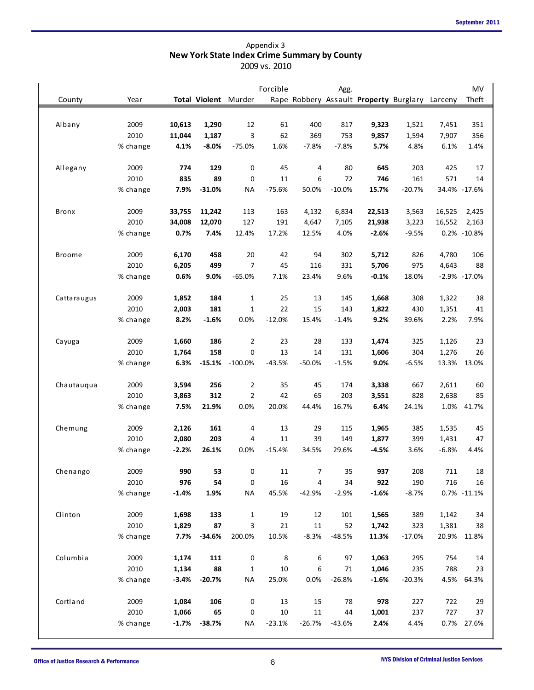| County        | Year     |         |          | <b>Total Violent Murder</b> | Forcible |          | Agg.     | Rape Robbery Assault Property Burglary Larceny |          |                  | MV<br>Theft |
|---------------|----------|---------|----------|-----------------------------|----------|----------|----------|------------------------------------------------|----------|------------------|-------------|
|               |          |         |          |                             |          |          |          |                                                |          |                  |             |
| Albany        | 2009     | 10,613  | 1,290    | 12                          | 61       | 400      | 817      | 9,323                                          | 1,521    | 7,451            | 351         |
|               | 2010     | 11,044  | 1,187    | 3                           | 62       | 369      | 753      | 9,857                                          | 1,594    | 7,907            | 356         |
|               | % change | 4.1%    | $-8.0%$  | $-75.0%$                    | 1.6%     | $-7.8%$  | $-7.8%$  | 5.7%                                           | 4.8%     | 6.1%             | 1.4%        |
| Allegany      | 2009     | 774     | 129      | 0                           | 45       | 4        | 80       | 645                                            | 203      | 425              | 17          |
|               | 2010     | 835     | 89       | 0                           | 11       | 6        | 72       | 746                                            | 161      | 571              | 14          |
|               | % change | 7.9%    | $-31.0%$ | <b>NA</b>                   | $-75.6%$ | 50.0%    | $-10.0%$ | 15.7%                                          | $-20.7%$ | 34.4% -17.6%     |             |
| Bronx         | 2009     | 33,755  | 11,242   | 113                         | 163      | 4,132    | 6,834    | 22,513                                         | 3,563    | 16,525           | 2,425       |
|               | 2010     | 34,008  | 12,070   | 127                         | 191      | 4,647    | 7,105    | 21,938                                         | 3,223    | 16,552           | 2,163       |
|               | % change | 0.7%    | 7.4%     | 12.4%                       | 17.2%    | 12.5%    | 4.0%     | $-2.6%$                                        | $-9.5%$  | 0.2% -10.8%      |             |
| <b>Broome</b> | 2009     | 6,170   | 458      | 20                          | 42       | 94       | 302      | 5,712                                          | 826      | 4,780            | 106         |
|               | 2010     | 6,205   | 499      | $\overline{7}$              | 45       | 116      | 331      | 5,706                                          | 975      | 4,643            | 88          |
|               | % change | 0.6%    | 9.0%     | $-65.0%$                    | 7.1%     | 23.4%    | 9.6%     | $-0.1%$                                        | 18.0%    | $-2.9\% -17.0\%$ |             |
| Cattaraugus   | 2009     | 1,852   | 184      | $\mathbf 1$                 | 25       | 13       | 145      | 1,668                                          | 308      | 1,322            | 38          |
|               | 2010     | 2,003   | 181      | $\mathbf{1}$                | 22       | 15       | 143      | 1,822                                          | 430      | 1,351            | 41          |
|               | % change | 8.2%    | $-1.6%$  | 0.0%                        | $-12.0%$ | 15.4%    | $-1.4%$  | 9.2%                                           | 39.6%    | 2.2%             | 7.9%        |
| Cayuga        | 2009     | 1,660   | 186      | $\overline{2}$              | 23       | 28       | 133      | 1,474                                          | 325      | 1,126            | 23          |
|               | 2010     | 1,764   | 158      | 0                           | 13       | 14       | 131      | 1,606                                          | 304      | 1,276            | 26          |
|               | % change | 6.3%    |          | $-15.1\% -100.0\%$          | $-43.5%$ | $-50.0%$ | $-1.5%$  | 9.0%                                           | $-6.5%$  | 13.3%            | 13.0%       |
| Chautauqua    | 2009     | 3,594   | 256      | $\overline{2}$              | 35       | 45       | 174      | 3,338                                          | 667      | 2,611            | 60          |
|               | 2010     | 3,863   | 312      | $\overline{2}$              | 42       | 65       | 203      | 3,551                                          | 828      | 2,638            | 85          |
|               | % change | 7.5%    | 21.9%    | 0.0%                        | 20.0%    | 44.4%    | 16.7%    | 6.4%                                           | 24.1%    | 1.0%             | 41.7%       |
| Chemung       | 2009     | 2,126   | 161      | 4                           | 13       | 29       | 115      | 1,965                                          | 385      | 1,535            | 45          |
|               | 2010     | 2,080   | 203      | 4                           | 11       | 39       | 149      | 1,877                                          | 399      | 1,431            | 47          |
|               | % change | $-2.2%$ | 26.1%    | 0.0%                        | $-15.4%$ | 34.5%    | 29.6%    | -4.5%                                          | 3.6%     | -6.8%            | 4.4%        |
| Chenango      | 2009     | 990     | 53       | 0                           | 11       | 7        | 35       | 937                                            | 208      | 711              | 18          |
|               | 2010     | 976     | 54       | 0                           | 16       | 4        | 34       | 922                                            | 190      | 716              | 16          |
|               | % change | $-1.4%$ | 1.9%     | <b>NA</b>                   | 45.5%    | $-42.9%$ | $-2.9%$  | $-1.6%$                                        | $-8.7%$  | 0.7% -11.1%      |             |
| Clinton       | 2009     | 1,698   | 133      | 1                           | 19       | 12       | 101      | 1,565                                          | 389      | 1,142            | 34          |
|               | 2010     | 1,829   | 87       | 3                           | 21       | 11       | 52       | 1,742                                          | 323      | 1,381            | 38          |
|               | % change | 7.7%    | $-34.6%$ | 200.0%                      | 10.5%    | $-8.3%$  | $-48.5%$ | 11.3%                                          | $-17.0%$ | 20.9%            | 11.8%       |
| Columbia      | 2009     | 1,174   | 111      | 0                           | 8        | 6        | 97       | 1,063                                          | 295      | 754              | 14          |
|               | 2010     | 1,134   | 88       | $\mathbf{1}$                | 10       | 6        | 71       | 1,046                                          | 235      | 788              | 23          |
|               | % change | $-3.4%$ | $-20.7%$ | <b>NA</b>                   | 25.0%    | 0.0%     | $-26.8%$ | $-1.6%$                                        | $-20.3%$ | 4.5%             | 64.3%       |
| Cortland      | 2009     | 1,084   | 106      | 0                           | 13       | 15       | 78       | 978                                            | 227      | 722              | 29          |
|               | 2010     | 1,066   | 65       | 0                           | 10       | 11       | 44       | 1,001                                          | 237      | 727              | 37          |
|               | % change | $-1.7%$ | $-38.7%$ | <b>NA</b>                   | $-23.1%$ | $-26.7%$ | $-43.6%$ | 2.4%                                           | 4.4%     | 0.7% 27.6%       |             |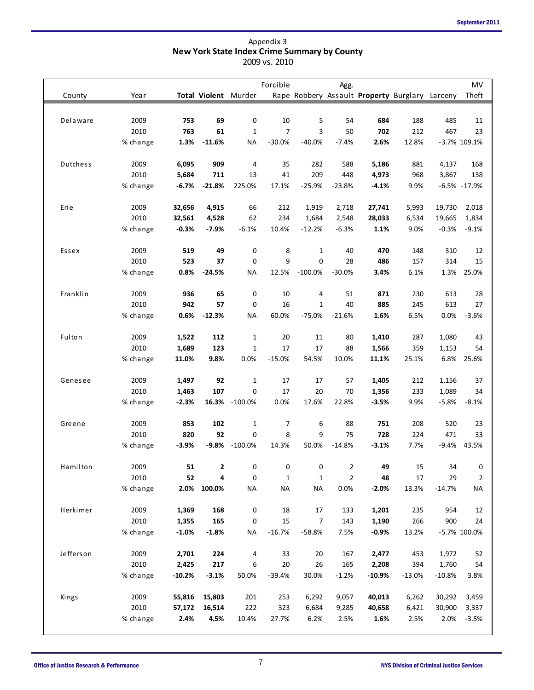|           |                  |                |               |                      | 2009 vs. 2010 |              |                |                |                                                |                |                  |
|-----------|------------------|----------------|---------------|----------------------|---------------|--------------|----------------|----------------|------------------------------------------------|----------------|------------------|
|           |                  |                |               |                      | Forcible      |              | Agg.           |                |                                                |                | MV               |
| County    | Year             |                |               | Total Violent Murder |               |              |                |                | Rape Robbery Assault Property Burglary Larceny |                | Theft            |
|           |                  |                |               |                      |               |              |                |                |                                                |                |                  |
| Delaware  | 2009<br>2010     | 753<br>763     | 69<br>61      | 0                    | 10            | 5<br>3       | 54<br>50       | 684            | 188                                            | 485            | 11<br>23         |
|           |                  |                | $-11.6%$      | $\mathbf 1$          | 7             |              |                | 702            | 212                                            | 467            |                  |
|           | % change         | 1.3%           |               | <b>NA</b>            | $-30.0%$      | $-40.0%$     | $-7.4%$        | 2.6%           | 12.8%                                          |                | -3.7% 109.1%     |
| Dutchess  | 2009             | 6,095          | 909           | 4                    | 35            | 282          | 588            | 5,186          | 881                                            | 4,137          | 168              |
|           | 2010             | 5,684          | 711           | 13                   | 41            | 209          | 448            | 4,973          | 968                                            | 3,867          | 138              |
|           | % change         | $-6.7%$        | $-21.8%$      | 225.0%               | 17.1%         | $-25.9%$     | $-23.8%$       | $-4.1%$        | 9.9%                                           |                | $-6.5\% -17.9\%$ |
| Erie      | 2009             | 32,656         | 4,915         | 66                   | 212           | 1,919        | 2,718          | 27,741         | 5,993                                          | 19,730         | 2,018            |
|           | 2010             | 32,561         | 4,528         | 62                   | 234           | 1,684        | 2,548          | 28,033         | 6,534                                          | 19,665         | 1,834            |
|           | % change         | $-0.3%$        | $-7.9%$       | $-6.1%$              | 10.4%         | $-12.2%$     | $-6.3%$        | 1.1%           | 9.0%                                           | $-0.3%$        | $-9.1%$          |
|           |                  |                |               |                      |               |              |                |                |                                                |                |                  |
| Essex     | 2009             | 519            | 49            | 0                    | 8             | 1            | 40             | 470            | 148                                            | 310            | 12               |
|           | 2010             | 523            | 37            | 0                    | 9             | 0            | 28             | 486            | 157                                            | 314            | 15               |
|           | % change         | 0.8%           | $-24.5%$      | <b>NA</b>            | 12.5%         | $-100.0%$    | $-30.0%$       | 3.4%           | 6.1%                                           | 1.3%           | 25.0%            |
| Franklin  | 2009             | 936            | 65            | 0                    | 10            | 4            | 51             | 871            | 230                                            | 613            | 28               |
|           | 2010             | 942            | 57            | 0                    | 16            | 1            | 40             | 885            | 245                                            | 613            | 27               |
|           | % change         | 0.6%           | $-12.3%$      | <b>NA</b>            | 60.0%         | $-75.0%$     | $-21.6%$       | 1.6%           | 6.5%                                           | 0.0%           | $-3.6%$          |
| Fulton    | 2009             | 1,522          | 112           | $\mathbf{1}$         | 20            | 11           | 80             | 1,410          | 287                                            | 1,080          | 43               |
|           | 2010             | 1,689          | 123           | $\mathbf{1}$         | 17            | 17           | 88             | 1,566          | 359                                            | 1,153          | 54               |
|           | % change         | 11.0%          | 9.8%          | 0.0%                 | $-15.0%$      | 54.5%        | 10.0%          | 11.1%          | 25.1%                                          | 6.8%           | 25.6%            |
| Genesee   | 2009             | 1,497          | 92            | $\mathbf{1}$         | 17            | 17           | 57             | 1,405          | 212                                            | 1,156          | 37               |
|           | 2010             | 1,463          | 107           | 0                    | 17            | 20           | 70             | 1,356          | 233                                            | 1,089          | 34               |
|           | % change         | $-2.3%$        |               | 16.3% -100.0%        | 0.0%          | 17.6%        | 22.8%          | $-3.5%$        | 9.9%                                           | $-5.8%$        | $-8.1%$          |
|           |                  |                |               |                      |               |              |                |                |                                                |                |                  |
| Greene    | 2009             | 853            | 102           | $\mathbf 1$          | 7             | 6            | 88             | 751            | 208                                            | 520            | 23               |
|           | 2010<br>% change | 820<br>$-3.9%$ | 92<br>$-9.8%$ | 0<br>$-100.0%$       | 8<br>14.3%    | 9<br>50.0%   | 75<br>$-14.8%$ | 728<br>$-3.1%$ | 224<br>7.7%                                    | 471<br>$-9.4%$ | 33<br>43.5%      |
|           |                  |                |               |                      |               |              |                |                |                                                |                |                  |
| Hamilton  | 2009             | 51             | 2             | 0                    | $\pmb{0}$     | 0            | $\overline{2}$ | 49             | 15                                             | 34             | 0                |
|           | 2010             | 52             | 4             | 0                    | $\mathbf{1}$  | $\mathbf{1}$ | $\mathbf{2}$   | 48             | 17                                             | 29             | 2                |
|           | % change         | 2.0%           | 100.0%        | <b>NA</b>            | <b>NA</b>     | <b>NA</b>    | 0.0%           | $-2.0%$        | 13.3%                                          | $-14.7%$       | <b>NA</b>        |
| Herkimer  | 2009             | 1,369          | 168           | 0                    | 18            | 17           | 133            | 1,201          | 235                                            | 954            | 12               |
|           | 2010             | 1,355          | 165           | 0                    | 15            | 7            | 143            | 1,190          | 266                                            | 900            | 24               |
|           | % change         | $-1.0%$        | $-1.8%$       | <b>NA</b>            | $-16.7%$      | $-58.8%$     | 7.5%           | $-0.9%$        | 13.2%                                          |                | -5.7% 100.0%     |
| Jefferson | 2009             | 2,701          | 224           | 4                    | 33            | $20\,$       | 167            | 2,477          | 453                                            | 1,972          | 52               |
|           | 2010             | 2,425          | 217           | 6                    | 20            | 26           | 165            | 2,208          | 394                                            | 1,760          | 54               |
|           | % change         | $-10.2%$       | $-3.1%$       | 50.0%                | $-39.4%$      | 30.0%        | $-1.2%$        | $-10.9%$       | $-13.0%$                                       | $-10.8%$       | 3.8%             |
|           |                  |                |               |                      |               |              |                |                |                                                |                |                  |
| Kings     | 2009             | 55,816         | 15,803        | 201                  | 253           | 6,292        | 9,057          | 40,013         | 6,262                                          | 30,292         | 3,459            |
|           | 2010             | 57,172         | 16,514        | 222                  | 323           | 6,684        | 9,285          | 40,658         | 6,421                                          | 30,900         | 3,337            |
|           | % change         | 2.4%           | 4.5%          | 10.4%                | 27.7%         | 6.2%         | 2.5%           | 1.6%           | 2.5%                                           | 2.0%           | $-3.5%$          |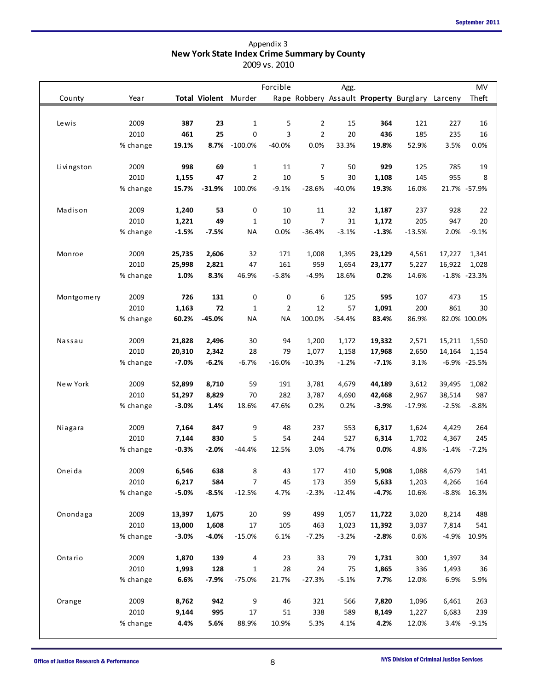|            |              |         |          |                             | Forcible       |                | Agg.     |               |                                                |                  | MV       |
|------------|--------------|---------|----------|-----------------------------|----------------|----------------|----------|---------------|------------------------------------------------|------------------|----------|
| County     | Year         |         |          | <b>Total Violent Murder</b> |                |                |          |               | Rape Robbery Assault Property Burglary Larceny |                  | Theft    |
|            |              |         |          |                             |                |                |          |               |                                                |                  |          |
| Lewis      | 2009         | 387     | 23       | $\mathbf{1}$                | 5              | $\overline{2}$ | 15       | 364           | 121                                            | 227              | 16       |
|            | 2010         | 461     | 25       | $\mathbf 0$                 | 3              | $\overline{2}$ | 20       | 436           | 185                                            | 235              | 16       |
|            | % change     | 19.1%   | 8.7%     | $-100.0\%$                  | $-40.0%$       | 0.0%           | 33.3%    | 19.8%         | 52.9%                                          | 3.5%             | 0.0%     |
| Livingston | 2009         | 998     | 69       | $\mathbf{1}$                | 11             | 7              | 50       | 929           | 125                                            | 785              | 19       |
|            | 2010         | 1,155   | 47       | $\overline{2}$              | 10             | 5              | 30       | 1,108         | 145                                            | 955              |          |
|            | % change     | 15.7%   | $-31.9%$ | 100.0%                      | $-9.1%$        | $-28.6%$       | $-40.0%$ | 19.3%         | 16.0%                                          | 21.7% -57.9%     |          |
| Madison    | 2009         | 1,240   | 53       | 0                           | 10             | 11             | 32       | 1,187         | 237                                            | 928              | 22       |
|            | 2010         | 1,221   | 49       | 1                           | 10             | 7              | 31       | 1,172         | 205                                            | 947              | 20       |
|            | % change     | $-1.5%$ | $-7.5%$  | <b>NA</b>                   | 0.0%           | $-36.4%$       | $-3.1%$  | $-1.3%$       | $-13.5%$                                       | 2.0%             | $-9.1%$  |
| Monroe     | 2009         | 25,735  | 2,606    | 32                          | 171            | 1,008          | 1,395    | 23,129        | 4,561                                          | 17,227           | 1,341    |
|            | 2010         | 25,998  | 2,821    | 47                          | 161            | 959            | 1,654    | 23,177        | 5,227                                          | 16,922           | 1,028    |
|            | % change     | 1.0%    | 8.3%     | 46.9%                       | $-5.8%$        | $-4.9%$        | 18.6%    | 0.2%          | 14.6%                                          | $-1.8\% -23.3\%$ |          |
| Montgomery | 2009         | 726     | 131      | 0                           | 0              |                | 125      | 595           | 107                                            | 473              | 15       |
|            | 2010         |         | 72       |                             |                | 6<br>12        | 57       |               |                                                |                  |          |
|            |              | 1,163   |          | 1                           | $\overline{2}$ |                |          | 1,091         | 200                                            | 861              | 30       |
|            | % change     | 60.2%   | $-45.0%$ | <b>NA</b>                   | <b>NA</b>      | 100.0%         | $-54.4%$ | 83.4%         | 86.9%                                          | 82.0% 100.0%     |          |
| Nassau     | 2009         | 21,828  | 2,496    | 30                          | 94             | 1,200          | 1,172    | 19,332        | 2,571                                          | 15,211           | 1,550    |
|            | 2010         | 20,310  | 2,342    | 28                          | 79             | 1,077          | 1,158    | 17,968        | 2,650                                          | 14,164           | 1,154    |
|            | % change     | $-7.0%$ | $-6.2%$  | $-6.7%$                     | $-16.0%$       | $-10.3%$       | $-1.2%$  | $-7.1%$       | 3.1%                                           | $-6.9\% -25.5\%$ |          |
| New York   | 2009         | 52,899  | 8,710    | 59                          | 191            | 3,781          | 4,679    | 44,189        | 3,612                                          | 39,495           | 1,082    |
|            | 2010         | 51,297  | 8,829    | 70                          | 282            | 3,787          | 4,690    | 42,468        | 2,967                                          | 38,514           | 987      |
|            | % change     | $-3.0%$ | 1.4%     | 18.6%                       | 47.6%          | 0.2%           | 0.2%     | $-3.9%$       | $-17.9%$                                       | $-2.5%$          | $-8.8%$  |
| Niagara    | 2009         | 7,164   | 847      | 9                           | 48             | 237            | 553      | 6,317         | 1,624                                          | 4,429            | 264      |
|            | 2010         | 7,144   | 830      | 5                           | 54             | 244            | 527      | 6,314         | 1,702                                          | 4,367            | 245      |
|            | % change     | $-0.3%$ | $-2.0%$  | $-44.4%$                    | 12.5%          | 3.0%           | $-4.7%$  | 0.0%          | 4.8%                                           | $-1.4%$          | $-7.2%$  |
| Oneida     | 2009         | 6,546   | 638      | 8                           | 43             | 177            | 410      | 5,908         | 1,088                                          | 4,679            | 141      |
|            | 2010         | 6,217   | 584      | 7                           | 45             | 173            | 359      | 5,633         | 1,203                                          | 4,266            | 164      |
|            | % change     | $-5.0%$ | $-8.5%$  | $-12.5%$                    | 4.7%           | $-2.3%$        | $-12.4%$ | $-4.7%$       | 10.6%                                          | $-8.8%$          | 16.3%    |
| Onondaga   | 2009         | 13,397  | 1,675    | $20\,$                      | 99             | 499            | 1,057    | 11,722        | 3,020                                          | 8,214            | 488      |
|            | 2010         | 13,000  | 1,608    | 17                          | 105            | 463            | 1,023    | 11,392        | 3,037                                          | 7,814            | 541      |
|            | % change     | $-3.0%$ | $-4.0%$  | $-15.0%$                    | 6.1%           | $-7.2%$        | $-3.2%$  | $-2.8%$       | 0.6%                                           | $-4.9%$          | 10.9%    |
| Ontario    | 2009         | 1,870   | 139      | 4                           | 23             | 33             | 79       | 1,731         | 300                                            | 1,397            |          |
|            | 2010         | 1,993   | 128      | $\mathbf{1}$                | 28             | 24             | 75       | 1,865         | 336                                            | 1,493            | 34<br>36 |
|            | % change     | 6.6%    | $-7.9%$  | $-75.0%$                    | 21.7%          | $-27.3%$       | $-5.1%$  | 7.7%          | 12.0%                                          | 6.9%             | 5.9%     |
|            |              |         |          |                             |                |                |          |               |                                                |                  |          |
| Orange     | 2009<br>2010 | 8,762   | 942      | 9                           | 46             | 321            | 566      | 7,820         | 1,096                                          | 6,461            | 263      |
|            | % change     | 9,144   | 995      | 17                          | 51<br>10.9%    | 338            | 589      | 8,149<br>4.2% | 1,227<br>12.0%                                 | 6,683            | 239      |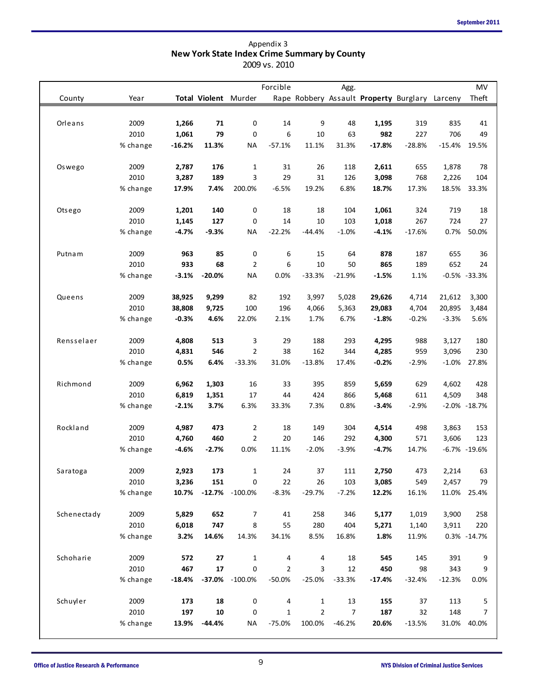| County<br>Orleans<br>Oswego<br>Otsego | Year<br>2009<br>2010<br>% change<br>2009<br>2010<br>% change<br>2009<br>2010 | 1,266<br>1,061<br>$-16.2%$<br>2,787<br>3,287<br>17.9%<br>1,201 | 71<br>79<br>11.3%<br>176<br>189<br>7.4% | Total Violent Murder<br>0<br>0<br><b>NA</b><br>$\mathbf{1}$<br>3 | Forcible<br>14<br>6<br>$-57.1%$<br>31 | 9<br>10<br>11.1% | Agg.<br>48<br>63<br>31.3% | 1,195<br>982<br>$-17.8%$ | Rape Robbery Assault Property Burglary Larceny<br>319<br>227 | 835<br>706     | MV<br>Theft<br>41       |
|---------------------------------------|------------------------------------------------------------------------------|----------------------------------------------------------------|-----------------------------------------|------------------------------------------------------------------|---------------------------------------|------------------|---------------------------|--------------------------|--------------------------------------------------------------|----------------|-------------------------|
|                                       |                                                                              |                                                                |                                         |                                                                  |                                       |                  |                           |                          |                                                              |                |                         |
|                                       |                                                                              |                                                                |                                         |                                                                  |                                       |                  |                           |                          |                                                              |                |                         |
|                                       |                                                                              |                                                                |                                         |                                                                  |                                       |                  |                           |                          |                                                              |                |                         |
|                                       |                                                                              |                                                                |                                         |                                                                  |                                       |                  |                           |                          |                                                              |                | 49                      |
|                                       |                                                                              |                                                                |                                         |                                                                  |                                       |                  |                           |                          |                                                              |                |                         |
|                                       |                                                                              |                                                                |                                         |                                                                  |                                       |                  |                           |                          | $-28.8%$                                                     | $-15.4%$       | 19.5%                   |
|                                       |                                                                              |                                                                |                                         |                                                                  |                                       | 26               | 118                       | 2,611                    | 655                                                          | 1,878          | 78                      |
|                                       |                                                                              |                                                                |                                         |                                                                  | 29                                    | 31               | 126                       | 3,098                    | 768                                                          | 2,226          | 104                     |
|                                       |                                                                              |                                                                |                                         | 200.0%                                                           | $-6.5%$                               | 19.2%            | 6.8%                      | 18.7%                    | 17.3%                                                        | 18.5%          | 33.3%                   |
|                                       |                                                                              |                                                                | 140                                     | 0                                                                | 18                                    | 18               | 104                       | 1,061                    | 324                                                          | 719            | 18                      |
|                                       |                                                                              | 1,145                                                          | 127                                     | 0                                                                | 14                                    | 10               | 103                       | 1,018                    | 267                                                          | 724            | 27                      |
|                                       | % change                                                                     | $-4.7%$                                                        | $-9.3%$                                 | <b>NA</b>                                                        | $-22.2%$                              | $-44.4%$         | $-1.0%$                   | $-4.1%$                  | $-17.6%$                                                     | 0.7%           | 50.0%                   |
| Putnam                                | 2009                                                                         | 963                                                            | 85                                      |                                                                  | 6                                     | 15               | 64                        | 878                      | 187                                                          | 655            | 36                      |
|                                       | 2010                                                                         | 933                                                            | 68                                      | 0<br>$\overline{2}$                                              | 6                                     | 10               | 50                        | 865                      | 189                                                          | 652            | 24                      |
|                                       | % change                                                                     | $-3.1%$                                                        | $-20.0%$                                | <b>NA</b>                                                        | 0.0%                                  | $-33.3%$         | $-21.9%$                  | $-1.5%$                  | 1.1%                                                         |                | $-0.5\% -33.3\%$        |
|                                       |                                                                              |                                                                |                                         |                                                                  |                                       |                  |                           |                          |                                                              |                |                         |
| Queens                                | 2009                                                                         | 38,925                                                         | 9,299                                   | 82                                                               | 192                                   | 3,997            | 5,028                     | 29,626                   | 4,714                                                        | 21,612         | 3,300                   |
|                                       | 2010                                                                         | 38,808                                                         | 9,725                                   | 100                                                              | 196                                   | 4,066            | 5,363                     | 29,083                   | 4,704                                                        | 20,895         | 3,484                   |
|                                       | % change                                                                     | $-0.3%$                                                        | 4.6%                                    | 22.0%                                                            | 2.1%                                  | 1.7%             | 6.7%                      | $-1.8%$                  | $-0.2%$                                                      | $-3.3%$        | 5.6%                    |
| Rensselaer                            | 2009                                                                         | 4,808                                                          | 513                                     | 3                                                                | 29                                    | 188              | 293                       | 4,295                    | 988                                                          | 3,127          | 180                     |
|                                       | 2010                                                                         | 4,831                                                          | 546                                     | $\overline{2}$                                                   | 38                                    | 162              | 344                       | 4,285                    | 959                                                          | 3,096          | 230                     |
|                                       | % change                                                                     | 0.5%                                                           | 6.4%                                    | $-33.3%$                                                         | 31.0%                                 | $-13.8%$         | 17.4%                     | $-0.2%$                  | $-2.9%$                                                      | $-1.0%$        | 27.8%                   |
|                                       |                                                                              |                                                                |                                         |                                                                  |                                       |                  |                           |                          |                                                              |                |                         |
| Richmond                              | 2009                                                                         | 6,962                                                          | 1,303                                   | 16                                                               | 33                                    | 395              | 859                       | 5,659                    | 629                                                          | 4,602          | 428                     |
|                                       | 2010                                                                         | 6,819                                                          | 1,351                                   | 17                                                               | 44                                    | 424              | 866                       | 5,468                    | 611                                                          | 4,509          | 348<br>$-2.0\% -18.7\%$ |
|                                       | % change                                                                     | $-2.1%$                                                        | 3.7%                                    | 6.3%                                                             | 33.3%                                 | 7.3%             | 0.8%                      | $-3.4%$                  | $-2.9%$                                                      |                |                         |
| Rockland                              | 2009                                                                         | 4,987                                                          | 473                                     | 2                                                                | 18                                    | 149              | 304                       | 4,514                    | 498                                                          | 3,863          | 153                     |
|                                       | 2010                                                                         | 4,760                                                          | 460                                     | $\overline{2}$                                                   | 20                                    | 146              | 292                       | 4,300                    | 571                                                          | 3,606          | 123                     |
|                                       | % change                                                                     | $-4.6%$                                                        | $-2.7%$                                 | 0.0%                                                             | 11.1%                                 | $-2.0%$          | $-3.9%$                   | $-4.7%$                  | 14.7%                                                        |                | -6.7% -19.6%            |
| Saratoga                              | 2009                                                                         | 2,923                                                          | 173                                     | $\mathbf{1}$                                                     | 24                                    | 37               | 111                       | 2,750                    | 473                                                          | 2,214          | 63                      |
|                                       | 2010                                                                         | 3,236                                                          | 151                                     | 0                                                                | 22                                    | 26               | 103                       | 3,085                    | 549                                                          | 2,457          | 79                      |
|                                       | % change                                                                     | 10.7%                                                          |                                         | $-12.7\% -100.0\%$                                               | $-8.3%$                               | $-29.7%$         | $-7.2%$                   | 12.2%                    | 16.1%                                                        | 11.0%          | 25.4%                   |
| Schenectady                           | 2009                                                                         | 5,829                                                          | 652                                     | 7                                                                | 41                                    | 258              | 346                       | 5,177                    |                                                              |                | 258                     |
|                                       | 2010                                                                         | 6,018                                                          | 747                                     | 8                                                                | 55                                    | 280              | 404                       | 5,271                    | 1,019<br>1,140                                               | 3,900<br>3,911 | 220                     |
|                                       | % change                                                                     | 3.2%                                                           | 14.6%                                   | 14.3%                                                            | 34.1%                                 | 8.5%             | 16.8%                     | 1.8%                     | 11.9%                                                        |                | 0.3% -14.7%             |
|                                       |                                                                              |                                                                |                                         |                                                                  |                                       |                  |                           |                          |                                                              |                |                         |
| Schoharie                             | 2009                                                                         | 572                                                            | 27                                      | $\mathbf{1}$                                                     | 4                                     | 4                | 18                        | 545                      | 145                                                          | 391            | 9                       |
|                                       | 2010                                                                         | 467                                                            | 17                                      | 0                                                                | 2                                     | 3                | 12                        | 450                      | 98                                                           | 343            | 9                       |
|                                       | % change                                                                     | $-18.4%$                                                       |                                         | $-37.0\% -100.0\%$                                               | $-50.0%$                              | $-25.0%$         | $-33.3%$                  | $-17.4%$                 | $-32.4%$                                                     | $-12.3%$       | 0.0%                    |
| Schuyler                              | 2009                                                                         | 173                                                            | 18                                      | 0                                                                | 4                                     | 1                | 13                        | 155                      | 37                                                           | 113            | 5                       |
|                                       | 2010                                                                         | 197                                                            | 10                                      | 0                                                                | $\mathbf{1}$                          | $\overline{2}$   | $\overline{7}$            | 187                      | 32                                                           | 148            | 7                       |
|                                       | % change                                                                     | 13.9%                                                          | $-44.4%$                                | <b>NA</b>                                                        | $-75.0%$                              | 100.0%           | $-46.2%$                  | 20.6%                    | $-13.5%$                                                     | 31.0%          | 40.0%                   |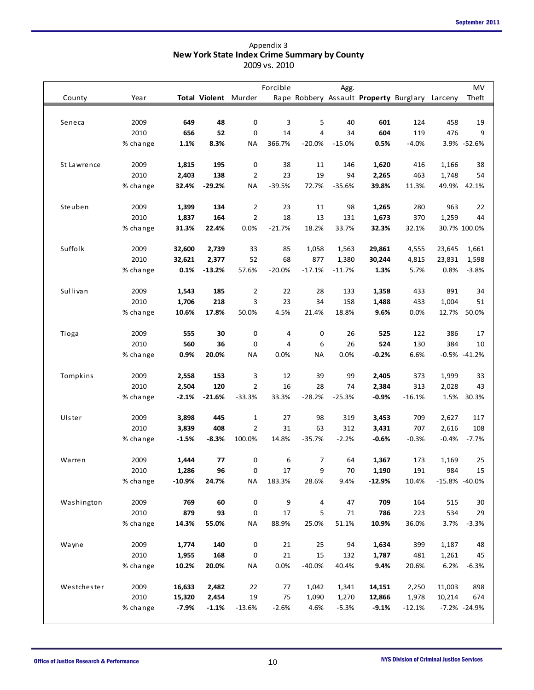| Agg.<br>Total Violent Murder<br>Rape Robbery Assault Property Burglary Larceny<br>County<br>Year<br>Seneca<br>2009<br>48<br>0<br>3<br>5<br>40<br>601<br>124<br>458<br>649<br>2010<br>52<br>0<br>14<br>4<br>604<br>476<br>656<br>34<br>119<br>1.1%<br>8.3%<br>366.7%<br>$-20.0%$<br>$-15.0%$<br>0.5%<br>$-4.0%$<br>3.9% -52.6%<br>% change<br>ΝA<br>2009<br>195<br>0<br>38<br>St Lawrence<br>1,815<br>11<br>146<br>1,620<br>416<br>1,166<br>2010<br>2<br>23<br>19<br>2,403<br>138<br>94<br>2,265<br>463<br>1,748<br>32.4%<br>$-29.2%$<br><b>NA</b><br>$-39.5%$<br>72.7%<br>39.8%<br>49.9%<br>% change<br>$-35.6%$<br>11.3%<br>Steuben<br>2009<br>2<br>23<br>1,399<br>134<br>11<br>98<br>1,265<br>280<br>963<br>$\overline{2}$<br>2010<br>164<br>18<br>1,837<br>13<br>131<br>1,673<br>370<br>1,259<br>22.4%<br>0.0%<br>$-21.7%$<br>18.2%<br>33.7%<br>30.7% 100.0%<br>% change<br>31.3%<br>32.3%<br>32.1%<br>Suffolk<br>2009<br>32,600<br>2,739<br>33<br>85<br>29,861<br>23,645<br>1,058<br>1,563<br>4,555<br>2010<br>68<br>877<br>32,621<br>2,377<br>52<br>1,380<br>23,831<br>30,244<br>4,815<br>% change<br>0.1%<br>$-13.2%$<br>57.6%<br>$-20.0%$<br>$-17.1%$<br>$-11.7%$<br>1.3%<br>5.7%<br>0.8%<br>Sullivan<br>2009<br>185<br>2<br>22<br>28<br>133<br>1,358<br>433<br>891<br>1,543<br>2010<br>218<br>3<br>23<br>34<br>158<br>433<br>1,004<br>1,706<br>1,488<br>4.5%<br>21.4%<br>% change<br>10.6%<br>17.8%<br>50.0%<br>18.8%<br>9.6%<br>0.0%<br>12.7%<br>2009<br>555<br>0<br>0<br>525<br>122<br>386<br>Tioga<br>30<br>4<br>26<br>2010<br>560<br>26<br>524<br>130<br>384<br>36<br>0<br>4<br>6<br>% change<br>0.9%<br>0.0%<br><b>NA</b><br>0.0%<br>$-0.2%$<br>6.6%<br>$-0.5% -41.2%$<br>20.0%<br>ΝA<br>Tompkins<br>2009<br>2,558<br>153<br>12<br>39<br>99<br>2,405<br>1,999<br>3<br>373<br>2010<br>2<br>2,504<br>120<br>16<br>28<br>74<br>2,384<br>313<br>2,028<br>$-2.1%$<br>$-21.6%$<br>$-33.3%$<br>33.3%<br>$-28.2%$<br>$-0.9%$<br>1.5%<br>% change<br>$-25.3%$<br>$-16.1%$<br>Ulster<br>2009<br>3,898<br>445<br>$\mathbf{1}$<br>27<br>98<br>319<br>3,453<br>709<br>2,627<br>2010<br>2<br>3,839<br>408<br>31<br>63<br>312<br>3,431<br>707<br>2,616<br>$-1.5%$<br>$-8.3%$<br>100.0%<br>14.8%<br>$-35.7%$<br>$-2.2%$<br>$-0.6%$<br>$-0.3%$<br>$-0.4%$<br>% change<br>2009<br>77<br>6<br>Warren<br>1,444<br>0<br>64<br>1,367<br>173<br>7<br>1,169<br>2010<br>96<br>0<br>17<br>9<br>984<br>1,286<br>70<br>1,190<br>191<br>$-10.9%$<br><b>NA</b><br>183.3%<br>9.4%<br>$-12.9%$<br>10.4%<br>$-15.8\% -40.0\%$<br>% change<br>24.7%<br>28.6%<br>0<br>Washington<br>2009<br>769<br>60<br>9<br>4<br>47<br>709<br>164<br>515<br>2010<br>879<br>93<br>0<br>5<br>534<br>17<br>71<br>786<br>223<br>% change<br>14.3%<br>55.0%<br><b>NA</b><br>88.9%<br>25.0%<br>51.1%<br>10.9%<br>36.0%<br>3.7%<br>Wayne<br>2009<br>1,774<br>140<br>0<br>21<br>25<br>94<br>1,634<br>399<br>1,187<br>2010<br>0<br>21<br>15<br>1,955<br>168<br>132<br>1,787<br>481<br>1,261<br>0.0%<br>% change<br>10.2%<br>20.0%<br><b>NA</b><br>$-40.0%$<br>40.4%<br>9.4%<br>20.6%<br>6.2%<br>Westchester<br>2009<br>16,633<br>2,482<br>22<br>77<br>2,250<br>11,003<br>1,042<br>1,341<br>14,151<br>2010<br>19<br>15,320<br>75<br>1,978<br>2,454<br>1,090<br>1,270<br>12,866<br>10,214 |  |  | Forcible |  |  | MV          |
|--------------------------------------------------------------------------------------------------------------------------------------------------------------------------------------------------------------------------------------------------------------------------------------------------------------------------------------------------------------------------------------------------------------------------------------------------------------------------------------------------------------------------------------------------------------------------------------------------------------------------------------------------------------------------------------------------------------------------------------------------------------------------------------------------------------------------------------------------------------------------------------------------------------------------------------------------------------------------------------------------------------------------------------------------------------------------------------------------------------------------------------------------------------------------------------------------------------------------------------------------------------------------------------------------------------------------------------------------------------------------------------------------------------------------------------------------------------------------------------------------------------------------------------------------------------------------------------------------------------------------------------------------------------------------------------------------------------------------------------------------------------------------------------------------------------------------------------------------------------------------------------------------------------------------------------------------------------------------------------------------------------------------------------------------------------------------------------------------------------------------------------------------------------------------------------------------------------------------------------------------------------------------------------------------------------------------------------------------------------------------------------------------------------------------------------------------------------------------------------------------------------------------------------------------------------------------------------------------------------------------------------------------------------------------------------------------------------------------------------------------------------------------------------------------------------------------------------------------------------------------------------------------------------------------------------------------------------------------------------------------------------------------------------------------------------------------------------------------------------------------------------------------------------------------------------------------------------------------------------------|--|--|----------|--|--|-------------|
|                                                                                                                                                                                                                                                                                                                                                                                                                                                                                                                                                                                                                                                                                                                                                                                                                                                                                                                                                                                                                                                                                                                                                                                                                                                                                                                                                                                                                                                                                                                                                                                                                                                                                                                                                                                                                                                                                                                                                                                                                                                                                                                                                                                                                                                                                                                                                                                                                                                                                                                                                                                                                                                                                                                                                                                                                                                                                                                                                                                                                                                                                                                                                                                                                                            |  |  |          |  |  | Theft       |
|                                                                                                                                                                                                                                                                                                                                                                                                                                                                                                                                                                                                                                                                                                                                                                                                                                                                                                                                                                                                                                                                                                                                                                                                                                                                                                                                                                                                                                                                                                                                                                                                                                                                                                                                                                                                                                                                                                                                                                                                                                                                                                                                                                                                                                                                                                                                                                                                                                                                                                                                                                                                                                                                                                                                                                                                                                                                                                                                                                                                                                                                                                                                                                                                                                            |  |  |          |  |  |             |
|                                                                                                                                                                                                                                                                                                                                                                                                                                                                                                                                                                                                                                                                                                                                                                                                                                                                                                                                                                                                                                                                                                                                                                                                                                                                                                                                                                                                                                                                                                                                                                                                                                                                                                                                                                                                                                                                                                                                                                                                                                                                                                                                                                                                                                                                                                                                                                                                                                                                                                                                                                                                                                                                                                                                                                                                                                                                                                                                                                                                                                                                                                                                                                                                                                            |  |  |          |  |  | 19          |
|                                                                                                                                                                                                                                                                                                                                                                                                                                                                                                                                                                                                                                                                                                                                                                                                                                                                                                                                                                                                                                                                                                                                                                                                                                                                                                                                                                                                                                                                                                                                                                                                                                                                                                                                                                                                                                                                                                                                                                                                                                                                                                                                                                                                                                                                                                                                                                                                                                                                                                                                                                                                                                                                                                                                                                                                                                                                                                                                                                                                                                                                                                                                                                                                                                            |  |  |          |  |  | 9           |
|                                                                                                                                                                                                                                                                                                                                                                                                                                                                                                                                                                                                                                                                                                                                                                                                                                                                                                                                                                                                                                                                                                                                                                                                                                                                                                                                                                                                                                                                                                                                                                                                                                                                                                                                                                                                                                                                                                                                                                                                                                                                                                                                                                                                                                                                                                                                                                                                                                                                                                                                                                                                                                                                                                                                                                                                                                                                                                                                                                                                                                                                                                                                                                                                                                            |  |  |          |  |  |             |
|                                                                                                                                                                                                                                                                                                                                                                                                                                                                                                                                                                                                                                                                                                                                                                                                                                                                                                                                                                                                                                                                                                                                                                                                                                                                                                                                                                                                                                                                                                                                                                                                                                                                                                                                                                                                                                                                                                                                                                                                                                                                                                                                                                                                                                                                                                                                                                                                                                                                                                                                                                                                                                                                                                                                                                                                                                                                                                                                                                                                                                                                                                                                                                                                                                            |  |  |          |  |  | 38          |
|                                                                                                                                                                                                                                                                                                                                                                                                                                                                                                                                                                                                                                                                                                                                                                                                                                                                                                                                                                                                                                                                                                                                                                                                                                                                                                                                                                                                                                                                                                                                                                                                                                                                                                                                                                                                                                                                                                                                                                                                                                                                                                                                                                                                                                                                                                                                                                                                                                                                                                                                                                                                                                                                                                                                                                                                                                                                                                                                                                                                                                                                                                                                                                                                                                            |  |  |          |  |  | 54          |
|                                                                                                                                                                                                                                                                                                                                                                                                                                                                                                                                                                                                                                                                                                                                                                                                                                                                                                                                                                                                                                                                                                                                                                                                                                                                                                                                                                                                                                                                                                                                                                                                                                                                                                                                                                                                                                                                                                                                                                                                                                                                                                                                                                                                                                                                                                                                                                                                                                                                                                                                                                                                                                                                                                                                                                                                                                                                                                                                                                                                                                                                                                                                                                                                                                            |  |  |          |  |  | 42.1%       |
|                                                                                                                                                                                                                                                                                                                                                                                                                                                                                                                                                                                                                                                                                                                                                                                                                                                                                                                                                                                                                                                                                                                                                                                                                                                                                                                                                                                                                                                                                                                                                                                                                                                                                                                                                                                                                                                                                                                                                                                                                                                                                                                                                                                                                                                                                                                                                                                                                                                                                                                                                                                                                                                                                                                                                                                                                                                                                                                                                                                                                                                                                                                                                                                                                                            |  |  |          |  |  | 22          |
|                                                                                                                                                                                                                                                                                                                                                                                                                                                                                                                                                                                                                                                                                                                                                                                                                                                                                                                                                                                                                                                                                                                                                                                                                                                                                                                                                                                                                                                                                                                                                                                                                                                                                                                                                                                                                                                                                                                                                                                                                                                                                                                                                                                                                                                                                                                                                                                                                                                                                                                                                                                                                                                                                                                                                                                                                                                                                                                                                                                                                                                                                                                                                                                                                                            |  |  |          |  |  | 44          |
|                                                                                                                                                                                                                                                                                                                                                                                                                                                                                                                                                                                                                                                                                                                                                                                                                                                                                                                                                                                                                                                                                                                                                                                                                                                                                                                                                                                                                                                                                                                                                                                                                                                                                                                                                                                                                                                                                                                                                                                                                                                                                                                                                                                                                                                                                                                                                                                                                                                                                                                                                                                                                                                                                                                                                                                                                                                                                                                                                                                                                                                                                                                                                                                                                                            |  |  |          |  |  |             |
|                                                                                                                                                                                                                                                                                                                                                                                                                                                                                                                                                                                                                                                                                                                                                                                                                                                                                                                                                                                                                                                                                                                                                                                                                                                                                                                                                                                                                                                                                                                                                                                                                                                                                                                                                                                                                                                                                                                                                                                                                                                                                                                                                                                                                                                                                                                                                                                                                                                                                                                                                                                                                                                                                                                                                                                                                                                                                                                                                                                                                                                                                                                                                                                                                                            |  |  |          |  |  | 1,661       |
|                                                                                                                                                                                                                                                                                                                                                                                                                                                                                                                                                                                                                                                                                                                                                                                                                                                                                                                                                                                                                                                                                                                                                                                                                                                                                                                                                                                                                                                                                                                                                                                                                                                                                                                                                                                                                                                                                                                                                                                                                                                                                                                                                                                                                                                                                                                                                                                                                                                                                                                                                                                                                                                                                                                                                                                                                                                                                                                                                                                                                                                                                                                                                                                                                                            |  |  |          |  |  | 1,598       |
|                                                                                                                                                                                                                                                                                                                                                                                                                                                                                                                                                                                                                                                                                                                                                                                                                                                                                                                                                                                                                                                                                                                                                                                                                                                                                                                                                                                                                                                                                                                                                                                                                                                                                                                                                                                                                                                                                                                                                                                                                                                                                                                                                                                                                                                                                                                                                                                                                                                                                                                                                                                                                                                                                                                                                                                                                                                                                                                                                                                                                                                                                                                                                                                                                                            |  |  |          |  |  | $-3.8%$     |
|                                                                                                                                                                                                                                                                                                                                                                                                                                                                                                                                                                                                                                                                                                                                                                                                                                                                                                                                                                                                                                                                                                                                                                                                                                                                                                                                                                                                                                                                                                                                                                                                                                                                                                                                                                                                                                                                                                                                                                                                                                                                                                                                                                                                                                                                                                                                                                                                                                                                                                                                                                                                                                                                                                                                                                                                                                                                                                                                                                                                                                                                                                                                                                                                                                            |  |  |          |  |  |             |
|                                                                                                                                                                                                                                                                                                                                                                                                                                                                                                                                                                                                                                                                                                                                                                                                                                                                                                                                                                                                                                                                                                                                                                                                                                                                                                                                                                                                                                                                                                                                                                                                                                                                                                                                                                                                                                                                                                                                                                                                                                                                                                                                                                                                                                                                                                                                                                                                                                                                                                                                                                                                                                                                                                                                                                                                                                                                                                                                                                                                                                                                                                                                                                                                                                            |  |  |          |  |  | 34          |
|                                                                                                                                                                                                                                                                                                                                                                                                                                                                                                                                                                                                                                                                                                                                                                                                                                                                                                                                                                                                                                                                                                                                                                                                                                                                                                                                                                                                                                                                                                                                                                                                                                                                                                                                                                                                                                                                                                                                                                                                                                                                                                                                                                                                                                                                                                                                                                                                                                                                                                                                                                                                                                                                                                                                                                                                                                                                                                                                                                                                                                                                                                                                                                                                                                            |  |  |          |  |  | 51<br>50.0% |
|                                                                                                                                                                                                                                                                                                                                                                                                                                                                                                                                                                                                                                                                                                                                                                                                                                                                                                                                                                                                                                                                                                                                                                                                                                                                                                                                                                                                                                                                                                                                                                                                                                                                                                                                                                                                                                                                                                                                                                                                                                                                                                                                                                                                                                                                                                                                                                                                                                                                                                                                                                                                                                                                                                                                                                                                                                                                                                                                                                                                                                                                                                                                                                                                                                            |  |  |          |  |  |             |
|                                                                                                                                                                                                                                                                                                                                                                                                                                                                                                                                                                                                                                                                                                                                                                                                                                                                                                                                                                                                                                                                                                                                                                                                                                                                                                                                                                                                                                                                                                                                                                                                                                                                                                                                                                                                                                                                                                                                                                                                                                                                                                                                                                                                                                                                                                                                                                                                                                                                                                                                                                                                                                                                                                                                                                                                                                                                                                                                                                                                                                                                                                                                                                                                                                            |  |  |          |  |  | 17          |
|                                                                                                                                                                                                                                                                                                                                                                                                                                                                                                                                                                                                                                                                                                                                                                                                                                                                                                                                                                                                                                                                                                                                                                                                                                                                                                                                                                                                                                                                                                                                                                                                                                                                                                                                                                                                                                                                                                                                                                                                                                                                                                                                                                                                                                                                                                                                                                                                                                                                                                                                                                                                                                                                                                                                                                                                                                                                                                                                                                                                                                                                                                                                                                                                                                            |  |  |          |  |  | 10          |
|                                                                                                                                                                                                                                                                                                                                                                                                                                                                                                                                                                                                                                                                                                                                                                                                                                                                                                                                                                                                                                                                                                                                                                                                                                                                                                                                                                                                                                                                                                                                                                                                                                                                                                                                                                                                                                                                                                                                                                                                                                                                                                                                                                                                                                                                                                                                                                                                                                                                                                                                                                                                                                                                                                                                                                                                                                                                                                                                                                                                                                                                                                                                                                                                                                            |  |  |          |  |  |             |
|                                                                                                                                                                                                                                                                                                                                                                                                                                                                                                                                                                                                                                                                                                                                                                                                                                                                                                                                                                                                                                                                                                                                                                                                                                                                                                                                                                                                                                                                                                                                                                                                                                                                                                                                                                                                                                                                                                                                                                                                                                                                                                                                                                                                                                                                                                                                                                                                                                                                                                                                                                                                                                                                                                                                                                                                                                                                                                                                                                                                                                                                                                                                                                                                                                            |  |  |          |  |  | 33          |
|                                                                                                                                                                                                                                                                                                                                                                                                                                                                                                                                                                                                                                                                                                                                                                                                                                                                                                                                                                                                                                                                                                                                                                                                                                                                                                                                                                                                                                                                                                                                                                                                                                                                                                                                                                                                                                                                                                                                                                                                                                                                                                                                                                                                                                                                                                                                                                                                                                                                                                                                                                                                                                                                                                                                                                                                                                                                                                                                                                                                                                                                                                                                                                                                                                            |  |  |          |  |  | 43          |
|                                                                                                                                                                                                                                                                                                                                                                                                                                                                                                                                                                                                                                                                                                                                                                                                                                                                                                                                                                                                                                                                                                                                                                                                                                                                                                                                                                                                                                                                                                                                                                                                                                                                                                                                                                                                                                                                                                                                                                                                                                                                                                                                                                                                                                                                                                                                                                                                                                                                                                                                                                                                                                                                                                                                                                                                                                                                                                                                                                                                                                                                                                                                                                                                                                            |  |  |          |  |  | 30.3%       |
|                                                                                                                                                                                                                                                                                                                                                                                                                                                                                                                                                                                                                                                                                                                                                                                                                                                                                                                                                                                                                                                                                                                                                                                                                                                                                                                                                                                                                                                                                                                                                                                                                                                                                                                                                                                                                                                                                                                                                                                                                                                                                                                                                                                                                                                                                                                                                                                                                                                                                                                                                                                                                                                                                                                                                                                                                                                                                                                                                                                                                                                                                                                                                                                                                                            |  |  |          |  |  | 117         |
|                                                                                                                                                                                                                                                                                                                                                                                                                                                                                                                                                                                                                                                                                                                                                                                                                                                                                                                                                                                                                                                                                                                                                                                                                                                                                                                                                                                                                                                                                                                                                                                                                                                                                                                                                                                                                                                                                                                                                                                                                                                                                                                                                                                                                                                                                                                                                                                                                                                                                                                                                                                                                                                                                                                                                                                                                                                                                                                                                                                                                                                                                                                                                                                                                                            |  |  |          |  |  | 108         |
|                                                                                                                                                                                                                                                                                                                                                                                                                                                                                                                                                                                                                                                                                                                                                                                                                                                                                                                                                                                                                                                                                                                                                                                                                                                                                                                                                                                                                                                                                                                                                                                                                                                                                                                                                                                                                                                                                                                                                                                                                                                                                                                                                                                                                                                                                                                                                                                                                                                                                                                                                                                                                                                                                                                                                                                                                                                                                                                                                                                                                                                                                                                                                                                                                                            |  |  |          |  |  | $-7.7%$     |
|                                                                                                                                                                                                                                                                                                                                                                                                                                                                                                                                                                                                                                                                                                                                                                                                                                                                                                                                                                                                                                                                                                                                                                                                                                                                                                                                                                                                                                                                                                                                                                                                                                                                                                                                                                                                                                                                                                                                                                                                                                                                                                                                                                                                                                                                                                                                                                                                                                                                                                                                                                                                                                                                                                                                                                                                                                                                                                                                                                                                                                                                                                                                                                                                                                            |  |  |          |  |  | 25          |
|                                                                                                                                                                                                                                                                                                                                                                                                                                                                                                                                                                                                                                                                                                                                                                                                                                                                                                                                                                                                                                                                                                                                                                                                                                                                                                                                                                                                                                                                                                                                                                                                                                                                                                                                                                                                                                                                                                                                                                                                                                                                                                                                                                                                                                                                                                                                                                                                                                                                                                                                                                                                                                                                                                                                                                                                                                                                                                                                                                                                                                                                                                                                                                                                                                            |  |  |          |  |  | 15          |
|                                                                                                                                                                                                                                                                                                                                                                                                                                                                                                                                                                                                                                                                                                                                                                                                                                                                                                                                                                                                                                                                                                                                                                                                                                                                                                                                                                                                                                                                                                                                                                                                                                                                                                                                                                                                                                                                                                                                                                                                                                                                                                                                                                                                                                                                                                                                                                                                                                                                                                                                                                                                                                                                                                                                                                                                                                                                                                                                                                                                                                                                                                                                                                                                                                            |  |  |          |  |  |             |
|                                                                                                                                                                                                                                                                                                                                                                                                                                                                                                                                                                                                                                                                                                                                                                                                                                                                                                                                                                                                                                                                                                                                                                                                                                                                                                                                                                                                                                                                                                                                                                                                                                                                                                                                                                                                                                                                                                                                                                                                                                                                                                                                                                                                                                                                                                                                                                                                                                                                                                                                                                                                                                                                                                                                                                                                                                                                                                                                                                                                                                                                                                                                                                                                                                            |  |  |          |  |  | 30          |
|                                                                                                                                                                                                                                                                                                                                                                                                                                                                                                                                                                                                                                                                                                                                                                                                                                                                                                                                                                                                                                                                                                                                                                                                                                                                                                                                                                                                                                                                                                                                                                                                                                                                                                                                                                                                                                                                                                                                                                                                                                                                                                                                                                                                                                                                                                                                                                                                                                                                                                                                                                                                                                                                                                                                                                                                                                                                                                                                                                                                                                                                                                                                                                                                                                            |  |  |          |  |  | 29          |
|                                                                                                                                                                                                                                                                                                                                                                                                                                                                                                                                                                                                                                                                                                                                                                                                                                                                                                                                                                                                                                                                                                                                                                                                                                                                                                                                                                                                                                                                                                                                                                                                                                                                                                                                                                                                                                                                                                                                                                                                                                                                                                                                                                                                                                                                                                                                                                                                                                                                                                                                                                                                                                                                                                                                                                                                                                                                                                                                                                                                                                                                                                                                                                                                                                            |  |  |          |  |  | $-3.3%$     |
|                                                                                                                                                                                                                                                                                                                                                                                                                                                                                                                                                                                                                                                                                                                                                                                                                                                                                                                                                                                                                                                                                                                                                                                                                                                                                                                                                                                                                                                                                                                                                                                                                                                                                                                                                                                                                                                                                                                                                                                                                                                                                                                                                                                                                                                                                                                                                                                                                                                                                                                                                                                                                                                                                                                                                                                                                                                                                                                                                                                                                                                                                                                                                                                                                                            |  |  |          |  |  | 48          |
|                                                                                                                                                                                                                                                                                                                                                                                                                                                                                                                                                                                                                                                                                                                                                                                                                                                                                                                                                                                                                                                                                                                                                                                                                                                                                                                                                                                                                                                                                                                                                                                                                                                                                                                                                                                                                                                                                                                                                                                                                                                                                                                                                                                                                                                                                                                                                                                                                                                                                                                                                                                                                                                                                                                                                                                                                                                                                                                                                                                                                                                                                                                                                                                                                                            |  |  |          |  |  | 45          |
|                                                                                                                                                                                                                                                                                                                                                                                                                                                                                                                                                                                                                                                                                                                                                                                                                                                                                                                                                                                                                                                                                                                                                                                                                                                                                                                                                                                                                                                                                                                                                                                                                                                                                                                                                                                                                                                                                                                                                                                                                                                                                                                                                                                                                                                                                                                                                                                                                                                                                                                                                                                                                                                                                                                                                                                                                                                                                                                                                                                                                                                                                                                                                                                                                                            |  |  |          |  |  | $-6.3%$     |
|                                                                                                                                                                                                                                                                                                                                                                                                                                                                                                                                                                                                                                                                                                                                                                                                                                                                                                                                                                                                                                                                                                                                                                                                                                                                                                                                                                                                                                                                                                                                                                                                                                                                                                                                                                                                                                                                                                                                                                                                                                                                                                                                                                                                                                                                                                                                                                                                                                                                                                                                                                                                                                                                                                                                                                                                                                                                                                                                                                                                                                                                                                                                                                                                                                            |  |  |          |  |  |             |
|                                                                                                                                                                                                                                                                                                                                                                                                                                                                                                                                                                                                                                                                                                                                                                                                                                                                                                                                                                                                                                                                                                                                                                                                                                                                                                                                                                                                                                                                                                                                                                                                                                                                                                                                                                                                                                                                                                                                                                                                                                                                                                                                                                                                                                                                                                                                                                                                                                                                                                                                                                                                                                                                                                                                                                                                                                                                                                                                                                                                                                                                                                                                                                                                                                            |  |  |          |  |  | 898         |
| $-7.9%$<br>$-2.6%$<br>4.6%<br>$-9.1%$<br>% change<br>$-1.1%$<br>$-13.6%$<br>$-5.3%$<br>$-12.1%$<br>-7.2% -24.9%                                                                                                                                                                                                                                                                                                                                                                                                                                                                                                                                                                                                                                                                                                                                                                                                                                                                                                                                                                                                                                                                                                                                                                                                                                                                                                                                                                                                                                                                                                                                                                                                                                                                                                                                                                                                                                                                                                                                                                                                                                                                                                                                                                                                                                                                                                                                                                                                                                                                                                                                                                                                                                                                                                                                                                                                                                                                                                                                                                                                                                                                                                                            |  |  |          |  |  | 674         |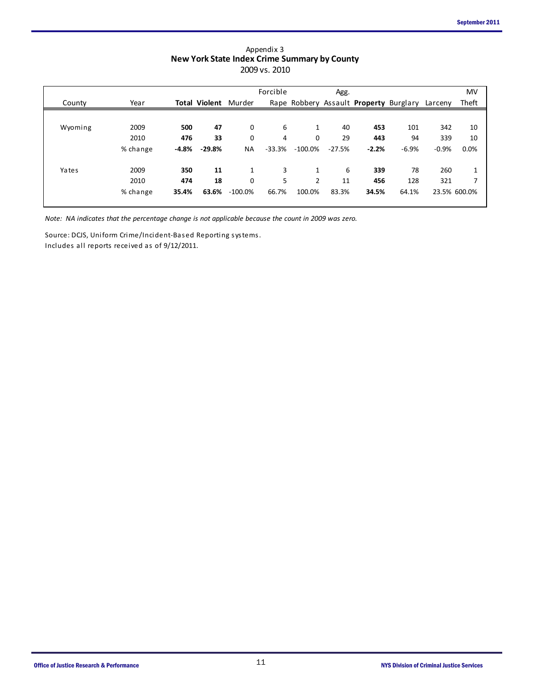| Appendix 3                                          |
|-----------------------------------------------------|
| <b>New York State Index Crime Summary by County</b> |
| 2009 vs. 2010                                       |

|         |          |         |                      | <b>THEM TOIR SEARC MINCK CHING SAMMANY BY COMINY</b> | 2009 vs. 2010 |            |          |         |                                                |         |              |
|---------|----------|---------|----------------------|------------------------------------------------------|---------------|------------|----------|---------|------------------------------------------------|---------|--------------|
|         |          |         |                      |                                                      | Forcible      |            | Agg.     |         |                                                |         | MV           |
| County  | Year     |         | <b>Total Violent</b> | Murder                                               |               |            |          |         | Rape Robbery Assault Property Burglary Larceny |         | Theft        |
|         |          |         |                      |                                                      |               |            |          |         |                                                |         |              |
| Wyoming | 2009     | 500     | 47                   | 0                                                    | 6             | 1          | 40       | 453     | 101                                            | 342     | 10           |
|         | 2010     | 476     | 33                   | 0                                                    | 4             | 0          | 29       | 443     | 94                                             | 339     | 10           |
|         | % change | $-4.8%$ | $-29.8%$             | <b>NA</b>                                            | $-33.3%$      | $-100.0\%$ | $-27.5%$ | $-2.2%$ | $-6.9%$                                        | $-0.9%$ | 0.0%         |
|         |          |         |                      |                                                      |               |            |          |         |                                                |         |              |
| Yates   | 2009     | 350     | 11                   | 1                                                    | 3             | 1          | 6        | 339     | 78                                             | 260     | 1            |
|         | 2010     | 474     | 18                   | 0                                                    | 5             | 2          | 11       | 456     | 128                                            | 321     | 7            |
|         | % change | 35.4%   | 63.6%                | $-100.0\%$                                           | 66.7%         | 100.0%     | 83.3%    | 34.5%   | 64.1%                                          |         | 23.5% 600.0% |
|         |          |         |                      |                                                      |               |            |          |         |                                                |         |              |

*Note: NA indicates that the percentage change is not applicable because the count in 2009 was zero.*

Source: DCJS, Uniform Crime/Incident-Based Reporting systems.

Includes all reports received as of 9/12/2011.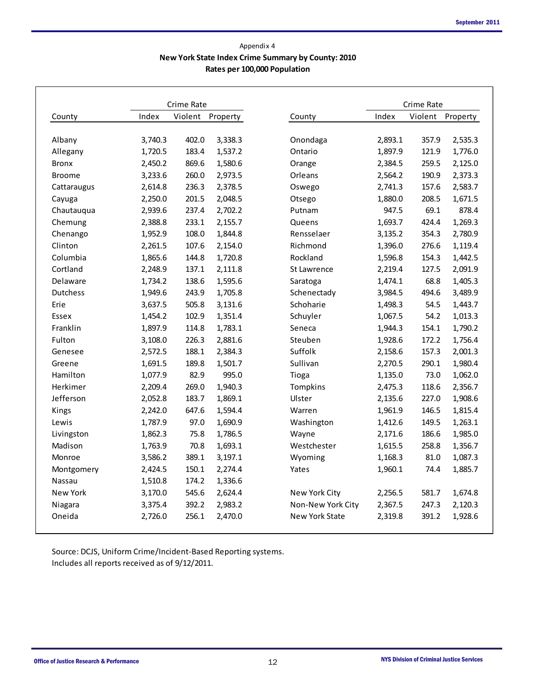#### **New York State Index Crime Summary by County: 2010 Rates per 100,000 Population** Appendix 4

|               |         | Crime Rate |          |                   | Crime Rate |         |          |  |  |  |
|---------------|---------|------------|----------|-------------------|------------|---------|----------|--|--|--|
| County        | Index   | Violent    | Property | County            | Index      | Violent | Property |  |  |  |
| Albany        | 3,740.3 | 402.0      | 3,338.3  | Onondaga          | 2,893.1    | 357.9   | 2,535.3  |  |  |  |
| Allegany      | 1,720.5 | 183.4      | 1,537.2  | Ontario           | 1,897.9    | 121.9   | 1,776.0  |  |  |  |
| <b>Bronx</b>  | 2,450.2 | 869.6      | 1,580.6  | Orange            | 2,384.5    | 259.5   | 2,125.0  |  |  |  |
| <b>Broome</b> | 3,233.6 | 260.0      | 2,973.5  | Orleans           | 2,564.2    | 190.9   | 2,373.3  |  |  |  |
| Cattaraugus   | 2,614.8 | 236.3      | 2,378.5  | Oswego            | 2,741.3    | 157.6   | 2,583.7  |  |  |  |
| Cayuga        | 2,250.0 | 201.5      | 2,048.5  | Otsego            | 1,880.0    | 208.5   | 1,671.5  |  |  |  |
| Chautauqua    | 2,939.6 | 237.4      | 2,702.2  | Putnam            | 947.5      | 69.1    | 878.4    |  |  |  |
| Chemung       | 2,388.8 | 233.1      | 2,155.7  | Queens            | 1,693.7    | 424.4   | 1,269.3  |  |  |  |
| Chenango      | 1,952.9 | 108.0      | 1,844.8  | Rensselaer        | 3,135.2    | 354.3   | 2,780.9  |  |  |  |
| Clinton       | 2,261.5 | 107.6      | 2,154.0  | Richmond          | 1,396.0    | 276.6   | 1,119.4  |  |  |  |
| Columbia      | 1,865.6 | 144.8      | 1,720.8  | Rockland          | 1,596.8    | 154.3   | 1,442.5  |  |  |  |
| Cortland      | 2,248.9 | 137.1      | 2,111.8  | St Lawrence       | 2,219.4    | 127.5   | 2,091.9  |  |  |  |
| Delaware      | 1,734.2 | 138.6      | 1,595.6  | Saratoga          | 1,474.1    | 68.8    | 1,405.3  |  |  |  |
| Dutchess      | 1,949.6 | 243.9      | 1,705.8  | Schenectady       | 3,984.5    | 494.6   | 3,489.9  |  |  |  |
| Erie          | 3,637.5 | 505.8      | 3,131.6  | Schoharie         | 1,498.3    | 54.5    | 1,443.7  |  |  |  |
| Essex         | 1,454.2 | 102.9      | 1,351.4  | Schuyler          | 1,067.5    | 54.2    | 1,013.3  |  |  |  |
| Franklin      | 1,897.9 | 114.8      | 1,783.1  | Seneca            | 1,944.3    | 154.1   | 1,790.2  |  |  |  |
| Fulton        | 3,108.0 | 226.3      | 2,881.6  | Steuben           | 1,928.6    | 172.2   | 1,756.4  |  |  |  |
| Genesee       | 2,572.5 | 188.1      | 2,384.3  | Suffolk           | 2,158.6    | 157.3   | 2,001.3  |  |  |  |
| Greene        | 1,691.5 | 189.8      | 1,501.7  | Sullivan          | 2,270.5    | 290.1   | 1,980.4  |  |  |  |
| Hamilton      | 1,077.9 | 82.9       | 995.0    | Tioga             | 1,135.0    | 73.0    | 1,062.0  |  |  |  |
| Herkimer      | 2,209.4 | 269.0      | 1,940.3  | Tompkins          | 2,475.3    | 118.6   | 2,356.7  |  |  |  |
| Jefferson     | 2,052.8 | 183.7      | 1,869.1  | Ulster            | 2,135.6    | 227.0   | 1,908.6  |  |  |  |
| Kings         | 2,242.0 | 647.6      | 1,594.4  | Warren            | 1,961.9    | 146.5   | 1,815.4  |  |  |  |
| Lewis         | 1,787.9 | 97.0       | 1,690.9  | Washington        | 1,412.6    | 149.5   | 1,263.1  |  |  |  |
| Livingston    | 1,862.3 | 75.8       | 1,786.5  | Wayne             | 2,171.6    | 186.6   | 1,985.0  |  |  |  |
| Madison       | 1,763.9 | 70.8       | 1,693.1  | Westchester       | 1,615.5    | 258.8   | 1,356.7  |  |  |  |
| Monroe        | 3,586.2 | 389.1      | 3,197.1  | Wyoming           | 1,168.3    | 81.0    | 1,087.3  |  |  |  |
| Montgomery    | 2,424.5 | 150.1      | 2,274.4  | Yates             | 1,960.1    | 74.4    | 1,885.7  |  |  |  |
| Nassau        | 1,510.8 | 174.2      | 1,336.6  |                   |            |         |          |  |  |  |
| New York      | 3,170.0 | 545.6      | 2,624.4  | New York City     | 2,256.5    | 581.7   | 1,674.8  |  |  |  |
| Niagara       | 3,375.4 | 392.2      | 2,983.2  | Non-New York City | 2,367.5    | 247.3   | 2,120.3  |  |  |  |
| Oneida        | 2,726.0 | 256.1      | 2,470.0  | New York State    | 2,319.8    | 391.2   | 1,928.6  |  |  |  |

Source: DCJS, Uniform Crime/Incident-Based Reporting systems. Includes all reports received as of 9/12/2011.